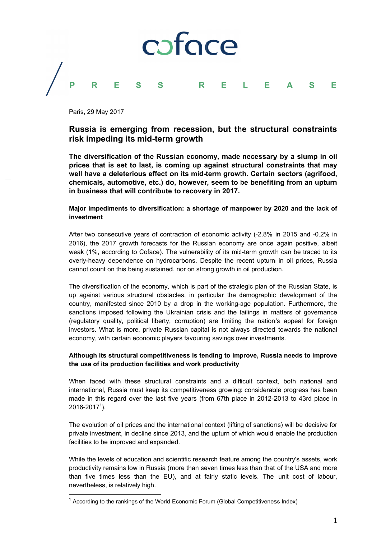

Paris, 29 May 2017

# Russia is emerging from recession, but the structural constraints risk impeding its mid-term growth

The diversification of the Russian economy, made necessary by a slump in oil prices that is set to last, is coming up against structural constraints that may well have a deleterious effect on its mid-term growth. Certain sectors (agrifood, chemicals, automotive, etc.) do, however, seem to be benefiting from an upturn in business that will contribute to recovery in 2017.

## Major impediments to diversification: a shortage of manpower by 2020 and the lack of investment

After two consecutive years of contraction of economic activity (-2.8% in 2015 and -0.2% in 2016), the 2017 growth forecasts for the Russian economy are once again positive, albeit weak (1%, according to Coface). The vulnerability of its mid-term growth can be traced to its overly-heavy dependence on hydrocarbons. Despite the recent upturn in oil prices. Russia cannot count on this being sustained, nor on strong growth in oil production.

The diversification of the economy, which is part of the strategic plan of the Russian State, is up against various structural obstacles, in particular the demographic development of the country, manifested since 2010 by a drop in the working-age population. Furthermore, the sanctions imposed following the Ukrainian crisis and the failings in matters of governance (requlatory quality, political liberty, corruption) are limiting the nation's appeal for foreign investors. What is more, private Russian capital is not always directed towards the national economy, with certain economic players favouring savings over investments.

## Although its structural competitiveness is tending to improve. Russia needs to improve the use of its production facilities and work productivity

When faced with these structural constraints and a difficult context, both national and international. Russia must keep its competitiveness growing: considerable progress has been made in this regard over the last five years (from 67th place in 2012-2013 to 43rd place in  $2016 - 2017<sup>1</sup>$ ).

The evolution of oil prices and the international context (lifting of sanctions) will be decisive for private investment, in decline since 2013, and the upturn of which would enable the production facilities to be improved and expanded.

While the levels of education and scientific research feature among the country's assets, work productivity remains low in Russia (more than seven times less than that of the USA and more than five times less than the EU), and at fairly static levels. The unit cost of labour, nevertheless, is relatively high.

<sup>&</sup>lt;sup>1</sup> According to the rankings of the World Economic Forum (Global Competitiveness Index)